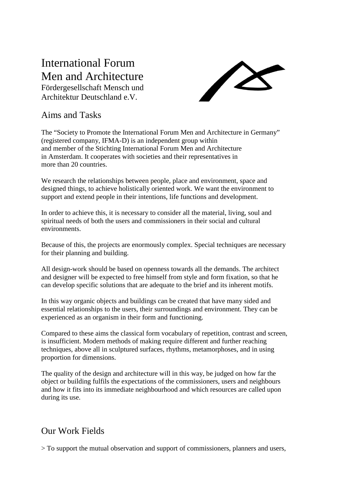## International Forum Men and Architecture

Fördergesellschaft Mensch und Architektur Deutschland e.V.



## Aims and Tasks

The "Society to Promote the International Forum Men and Architecture in Germany" (registered company, IFMA-D) is an independent group within and member of the Stichting International Forum Men and Architecture in Amsterdam. It cooperates with societies and their representatives in more than 20 countries.

We research the relationships between people, place and environment, space and designed things, to achieve holistically oriented work. We want the environment to support and extend people in their intentions, life functions and development.

In order to achieve this, it is necessary to consider all the material, living, soul and spiritual needs of both the users and commissioners in their social and cultural environments.

Because of this, the projects are enormously complex. Special techniques are necessary for their planning and building.

All design-work should be based on openness towards all the demands. The architect and designer will be expected to free himself from style and form fixation, so that he can develop specific solutions that are adequate to the brief and its inherent motifs.

In this way organic objects and buildings can be created that have many sided and essential relationships to the users, their surroundings and environment. They can be experienced as an organism in their form and functioning.

Compared to these aims the classical form vocabulary of repetition, contrast and screen, is insufficient. Modern methods of making require different and further reaching techniques, above all in sculptured surfaces, rhythms, metamorphoses, and in using proportion for dimensions.

The quality of the design and architecture will in this way, be judged on how far the object or building fulfils the expectations of the commissioners, users and neighbours and how it fits into its immediate neighbourhood and which resources are called upon during its use.

## Our Work Fields

> To support the mutual observation and support of commissioners, planners and users,